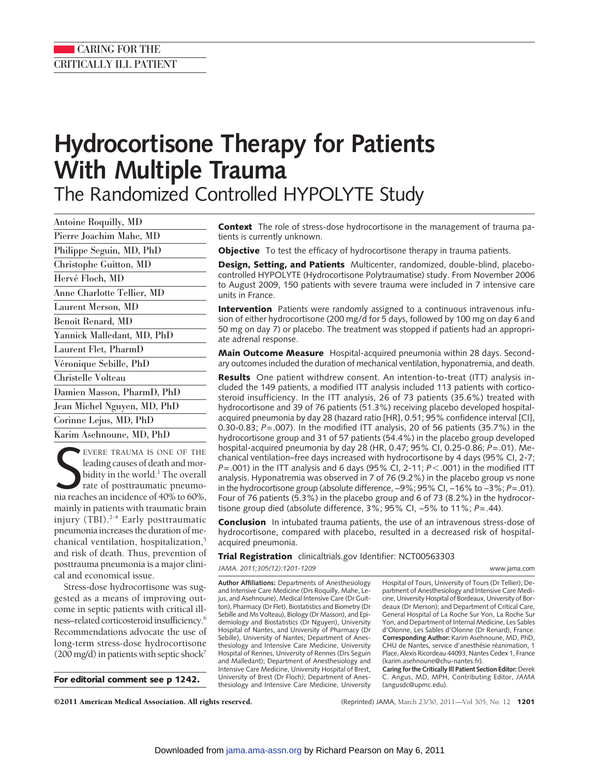# **Hydrocortisone Therapy for Patients With Multiple Trauma**

The Randomized Controlled HYPOLYTE Study

| Antoine Roquilly, MD        |
|-----------------------------|
| Pierre Joachim Mahe, MD     |
| Philippe Seguin, MD, PhD    |
| Christophe Guitton, MD      |
| Hervé Floch, MD             |
| Anne Charlotte Tellier, MD  |
| Laurent Merson, MD          |
| Benoît Renard, MD           |
| Yannick Malledant, MD, PhD  |
| Laurent Flet, PharmD        |
| Véronique Sebille, PhD      |
| Christelle Volteau          |
| Damien Masson, PharmD, PhD  |
| Jean Michel Nguyen, MD, PhD |
| Corinne Lejus, MD, PhD      |
| Karim Asehnoune, MD, PhD    |
|                             |

EVERE TRAUMA IS ONE OF THE leading causes of death and morbidity in the world.<sup>1</sup> The overall rate of posttraumatic pneumo-<br>nia reaches an incidence of 40% to 60%, EVERE TRAUMA IS ONE OF THE leading causes of death and morbidity in the world.<sup>1</sup> The overall rate of posttraumatic pneumomainly in patients with traumatic brain injury (TBI).2-4 Early posttraumatic pneumonia increases the duration of mechanical ventilation, hospitalization,5 and risk of death. Thus, prevention of posttrauma pneumonia is a major clinical and economical issue.

Stress-dose hydrocortisone was suggested as a means of improving outcome in septic patients with critical illness-related corticosteroid insufficiency.<sup>6</sup> Recommendations advocate the use of long-term stress-dose hydrocortisone  $(200 \text{ mg/d})$  in patients with septic shock<sup>7</sup>

**For editorial comment see p 1242.**

**Context** The role of stress-dose hydrocortisone in the management of trauma patients is currently unknown.

**Objective** To test the efficacy of hydrocortisone therapy in trauma patients.

**Design, Setting, and Patients** Multicenter, randomized, double-blind, placebocontrolled HYPOLYTE (Hydrocortisone Polytraumatise) study. From November 2006 to August 2009, 150 patients with severe trauma were included in 7 intensive care units in France.

**Intervention** Patients were randomly assigned to a continuous intravenous infusion of either hydrocortisone (200 mg/d for 5 days, followed by 100 mg on day 6 and 50 mg on day 7) or placebo. The treatment was stopped if patients had an appropriate adrenal response.

**Main Outcome Measure** Hospital-acquired pneumonia within 28 days. Secondary outcomes included the duration of mechanical ventilation, hyponatremia, and death.

**Results** One patient withdrew consent. An intention-to-treat (ITT) analysis included the 149 patients, a modified ITT analysis included 113 patients with corticosteroid insufficiency. In the ITT analysis, 26 of 73 patients (35.6%) treated with hydrocortisone and 39 of 76 patients (51.3%) receiving placebo developed hospitalacquired pneumonia by day 28 (hazard ratio [HR], 0.51; 95% confidence interval [CI], 0.30-0.83; *P*=.007). In the modified ITT analysis, 20 of 56 patients (35.7%) in the hydrocortisone group and 31 of 57 patients (54.4%) in the placebo group developed hospital-acquired pneumonia by day 28 (HR, 0.47; 95% CI, 0.25-0.86; *P*=.01). Mechanical ventilation–free days increased with hydrocortisone by 4 days (95% CI, 2-7; *P*=.001) in the ITT analysis and 6 days (95% CI, 2-11; *P*-.001) in the modified ITT analysis. Hyponatremia was observed in 7 of 76 (9.2%) in the placebo group vs none in the hydrocortisone group (absolute difference, −9%; 95% CI, −16% to −3%; *P*=.01). Four of 76 patients (5.3%) in the placebo group and 6 of 73 (8.2%) in the hydrocortisone group died (absolute difference, 3%; 95% CI, −5% to 11%; *P*=.44).

**Conclusion** In intubated trauma patients, the use of an intravenous stress-dose of hydrocortisone, compared with placebo, resulted in a decreased risk of hospitalacquired pneumonia.

#### **Trial Registration** clinicaltrials.gov Identifier: NCT00563303

#### *JAMA. 2011;305(12):1201-1209* www.jama.com

**Author Affiliations:** Departments of Anesthesiology and Intensive Care Medicine (Drs Roquilly, Mahe, Lejus, and Asehnoune), Medical Intensive Care (Dr Guitton), Pharmacy (Dr Flet), Biostatistics and Biometry (Dr Sebille and Ms Volteau), Biology (Dr Masson), and Epidemiology and Biostatistics (Dr Nguyen), University Hospital of Nantes, and University of Pharmacy (Dr Sebille), University of Nantes; Department of Anesthesiology and Intensive Care Medicine, University Hospital of Rennes, University of Rennes (Drs Seguin and Malledant); Department of Anesthesiology and Intensive Care Medicine, University Hospital of Brest, University of Brest (Dr Floch); Department of Anesthesiology and Intensive Care Medicine, University Hospital of Tours, University of Tours (Dr Tellier); Department of Anesthesiology and Intensive Care Medicine, University Hospital of Bordeaux, University of Bordeaux (Dr Merson); and Department of Critical Care, General Hospital of La Roche Sur Yon, La Roche Sur Yon, and Department of Internal Medicine, Les Sables d'Olonne, Les Sables d'Olonne (Dr Renard), France. **Corresponding Author:** Karim Asehnoune, MD, PhD, CHU de Nantes, service d'anesthésie réanimation, 1 Place, Alexis Ricordeau 44093, Nantes Cedex 1, France (karim.asehnoune@chu-nantes.fr).

**Caring for the Critically Ill Patient Section Editor:** Derek C. Angus, MD, MPH, Contributing Editor, *JAMA* (angusdc@upmc.edu).

©2011 American Medical Association. All rights reserved. (Reprinted) JAMA, March 23/30, 2011—Vol 305, No. 12 **1201**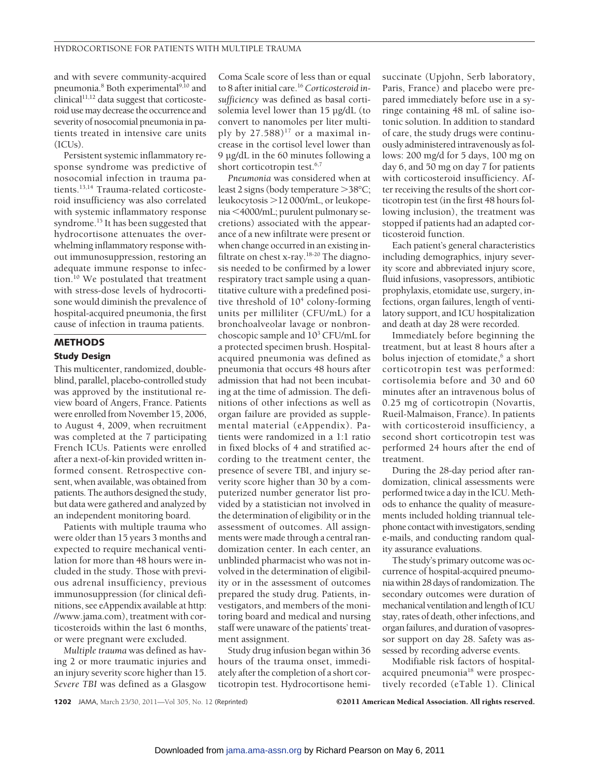and with severe community-acquired pneumonia.<sup>8</sup> Both experimental<sup>9,10</sup> and clinical<sup>11,12</sup> data suggest that corticosteroid use may decrease the occurrence and severity of nosocomial pneumonia in patients treated in intensive care units  $(ICUs).$ 

Persistent systemic inflammatory response syndrome was predictive of nosocomial infection in trauma patients.13,14 Trauma-related corticosteroid insufficiency was also correlated with systemic inflammatory response syndrome.<sup>15</sup> It has been suggested that hydrocortisone attenuates the overwhelming inflammatory response without immunosuppression, restoring an adequate immune response to infection.10 We postulated that treatment with stress-dose levels of hydrocortisone would diminish the prevalence of hospital-acquired pneumonia, the first cause of infection in trauma patients.

## **METHODS Study Design**

This multicenter, randomized, doubleblind, parallel, placebo-controlled study was approved by the institutional review board of Angers, France. Patients were enrolled from November 15, 2006, to August 4, 2009, when recruitment was completed at the 7 participating French ICUs. Patients were enrolled after a next-of-kin provided written informed consent. Retrospective consent, when available, was obtained from patients. The authors designed the study, but data were gathered and analyzed by an independent monitoring board.

Patients with multiple trauma who were older than 15 years 3 months and expected to require mechanical ventilation for more than 48 hours were included in the study. Those with previous adrenal insufficiency, previous immunosuppression (for clinical definitions, see eAppendix available at http: //www.jama.com), treatment with corticosteroids within the last 6 months, or were pregnant were excluded.

*Multiple trauma* was defined as having 2 or more traumatic injuries and an injury severity score higher than 15. *Severe TBI* was defined as a Glasgow

Coma Scale score of less than or equal to 8 after initial care.16 *Corticosteroid insufficiency* was defined as basal cortisolemia level lower than 15 µg/dL (to convert to nanomoles per liter multiply by  $27.588$ <sup> $17$ </sup> or a maximal increase in the cortisol level lower than 9 µg/dL in the 60 minutes following a short corticotropin test.<sup>6,7</sup>

*Pneumonia* was considered when at least 2 signs (body temperature 38°C; leukocytosis 12 000/mL, or leukopenia -4000/mL; purulent pulmonary secretions) associated with the appearance of a new infiltrate were present or when change occurred in an existing infiltrate on chest x-ray.18-20 The diagnosis needed to be confirmed by a lower respiratory tract sample using a quantitative culture with a predefined positive threshold of  $10<sup>4</sup>$  colony-forming units per milliliter (CFU/mL) for a bronchoalveolar lavage or nonbronchoscopic sample and  $10<sup>3</sup>$  CFU/mL for a protected specimen brush. Hospitalacquired pneumonia was defined as pneumonia that occurs 48 hours after admission that had not been incubating at the time of admission. The definitions of other infections as well as organ failure are provided as supplemental material (eAppendix). Patients were randomized in a 1:1 ratio in fixed blocks of 4 and stratified according to the treatment center, the presence of severe TBI, and injury severity score higher than 30 by a computerized number generator list provided by a statistician not involved in the determination of eligibility or in the assessment of outcomes. All assignments were made through a central randomization center. In each center, an unblinded pharmacist who was not involved in the determination of eligibility or in the assessment of outcomes prepared the study drug. Patients, investigators, and members of the monitoring board and medical and nursing staff were unaware of the patients' treatment assignment.

Study drug infusion began within 36 hours of the trauma onset, immediately after the completion of a short corticotropin test. Hydrocortisone hemisuccinate (Upjohn, Serb laboratory, Paris, France) and placebo were prepared immediately before use in a syringe containing 48 mL of saline isotonic solution. In addition to standard of care, the study drugs were continuously administered intravenously as follows: 200 mg/d for 5 days, 100 mg on day 6, and 50 mg on day 7 for patients with corticosteroid insufficiency. After receiving the results of the short corticotropin test (in the first 48 hours following inclusion), the treatment was stopped if patients had an adapted corticosteroid function.

Each patient's general characteristics including demographics, injury severity score and abbreviated injury score, fluid infusions, vasopressors, antibiotic prophylaxis, etomidate use, surgery, infections, organ failures, length of ventilatory support, and ICU hospitalization and death at day 28 were recorded.

Immediately before beginning the treatment, but at least 8 hours after a bolus injection of etomidate.<sup>6</sup> a short corticotropin test was performed: cortisolemia before and 30 and 60 minutes after an intravenous bolus of 0.25 mg of corticotropin (Novartis, Rueil-Malmaison, France). In patients with corticosteroid insufficiency, a second short corticotropin test was performed 24 hours after the end of treatment.

During the 28-day period after randomization, clinical assessments were performed twice a day in the ICU. Methods to enhance the quality of measurements included holding triannual telephone contact with investigators, sending e-mails, and conducting random quality assurance evaluations.

The study's primary outcome was occurrence of hospital-acquired pneumonia within 28 days of randomization. The secondary outcomes were duration of mechanical ventilation and length of ICU stay, rates of death, other infections, and organ failures, and duration of vasopressor support on day 28. Safety was assessed by recording adverse events.

Modifiable risk factors of hospitalacquired pneumonia<sup>18</sup> were prospectively recorded (eTable 1). Clinical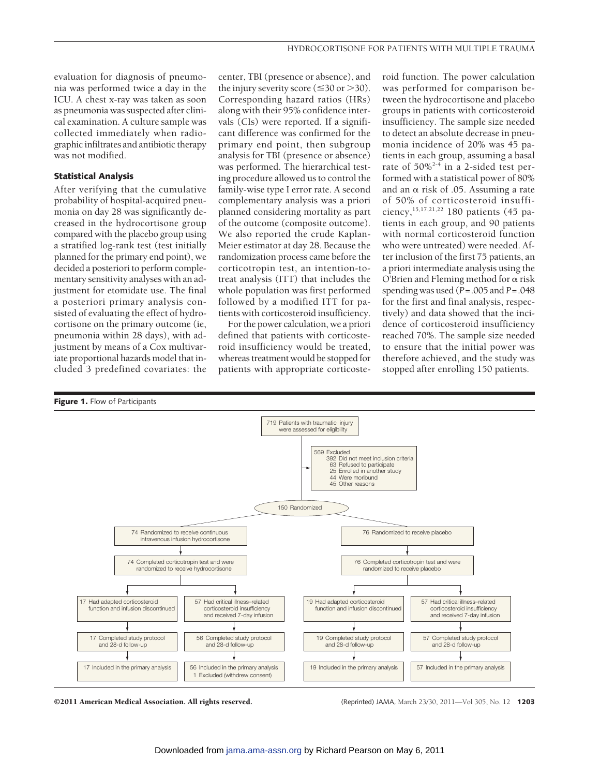evaluation for diagnosis of pneumonia was performed twice a day in the ICU. A chest x-ray was taken as soon as pneumonia was suspected after clinical examination. A culture sample was collected immediately when radiographic infiltrates and antibiotic therapy was not modified.

## **Statistical Analysis**

After verifying that the cumulative probability of hospital-acquired pneumonia on day 28 was significantly decreased in the hydrocortisone group compared with the placebo group using a stratified log-rank test (test initially planned for the primary end point), we decided a posteriori to perform complementary sensitivity analyses with an adjustment for etomidate use. The final a posteriori primary analysis consisted of evaluating the effect of hydrocortisone on the primary outcome (ie, pneumonia within 28 days), with adjustment by means of a Cox multivariate proportional hazards model that included 3 predefined covariates: the

center, TBI (presence or absence), and the injury severity score ( $\leq 30$  or  $> 30$ ). Corresponding hazard ratios (HRs) along with their 95% confidence intervals (CIs) were reported. If a significant difference was confirmed for the primary end point, then subgroup analysis for TBI (presence or absence) was performed. The hierarchical testing procedure allowed us to control the family-wise type I error rate. A second complementary analysis was a priori planned considering mortality as part of the outcome (composite outcome). We also reported the crude Kaplan-Meier estimator at day 28. Because the randomization process came before the corticotropin test, an intention-totreat analysis (ITT) that includes the whole population was first performed followed by a modified ITT for patients with corticosteroid insufficiency.

For the power calculation, we a priori defined that patients with corticosteroid insufficiency would be treated, whereas treatment would be stopped for patients with appropriate corticosteroid function. The power calculation was performed for comparison between the hydrocortisone and placebo groups in patients with corticosteroid insufficiency. The sample size needed to detect an absolute decrease in pneumonia incidence of 20% was 45 patients in each group, assuming a basal rate of  $50\%^{2-4}$  in a 2-sided test performed with a statistical power of 80% and an  $\alpha$  risk of .05. Assuming a rate of 50% of corticosteroid insufficiency,15,17,21,22 180 patients (45 patients in each group, and 90 patients with normal corticosteroid function who were untreated) were needed. After inclusion of the first 75 patients, an a priori intermediate analysis using the O'Brien and Fleming method for  $\alpha$  risk spending was used (*P*=.005 and *P*=.048 for the first and final analysis, respectively) and data showed that the incidence of corticosteroid insufficiency reached 70%. The sample size needed to ensure that the initial power was therefore achieved, and the study was stopped after enrolling 150 patients.



©2011 American Medical Association. All rights reserved. (Reprinted) JAMA, March 23/30, 2011—Vol 305, No. 12 **1203**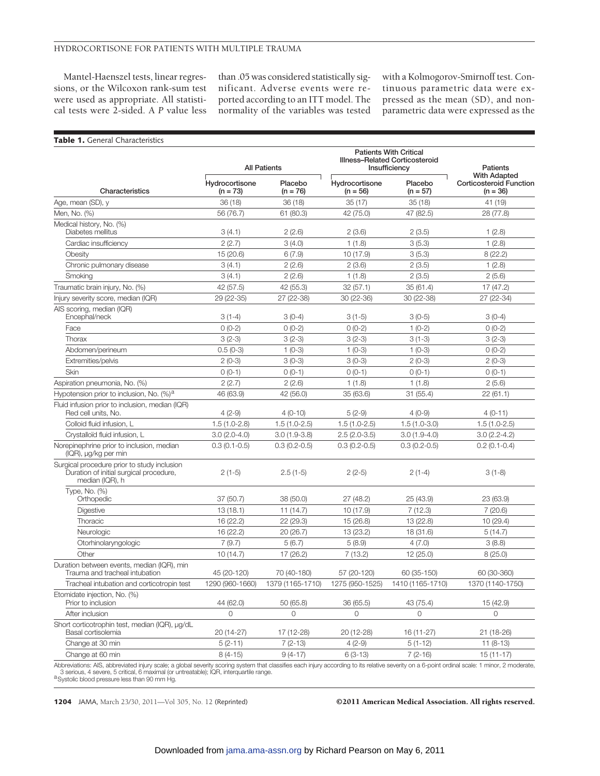## HYDROCORTISONE FOR PATIENTS WITH MULTIPLE TRAUMA

Mantel-Haenszel tests, linear regressions, or the Wilcoxon rank-sum test were used as appropriate. All statistical tests were 2-sided. A *P* value less

than .05 was considered statistically significant. Adverse events were reported according to an ITT model. The normality of the variables was tested with a Kolmogorov-Smirnoff test. Continuous parametric data were expressed as the mean (SD), and nonparametric data were expressed as the

|                                                                                                           | <b>All Patients</b>          |                       |                              | <b>Patients With Critical</b><br><b>Illness-Related Corticosteroid</b><br>Insufficiency | <b>Patients</b>                                                     |  |
|-----------------------------------------------------------------------------------------------------------|------------------------------|-----------------------|------------------------------|-----------------------------------------------------------------------------------------|---------------------------------------------------------------------|--|
| Characteristics                                                                                           | Hydrocortisone<br>$(n = 73)$ | Placebo<br>$(n = 76)$ | Hydrocortisone<br>$(n = 56)$ | Placebo<br>$(n = 57)$                                                                   | <b>With Adapted</b><br><b>Corticosteroid Function</b><br>$(n = 36)$ |  |
| Age, mean (SD), y                                                                                         | 36(18)                       | 36(18)                | 35(17)                       | 35(18)                                                                                  | 41 (19)                                                             |  |
| Men, No. (%)                                                                                              | 56 (76.7)                    | 61 (80.3)             | 42 (75.0)                    | 47 (82.5)                                                                               | 28 (77.8)                                                           |  |
| Medical history, No. (%)<br>Diabetes mellitus                                                             | 3(4.1)                       | 2(2.6)                | 2(3.6)                       | 2(3.5)                                                                                  | 1(2.8)                                                              |  |
| Cardiac insufficiency                                                                                     | 2(2.7)                       | 3(4.0)                | 1(1.8)                       | 3(5.3)                                                                                  | 1(2.8)                                                              |  |
| Obesity                                                                                                   | 15 (20.6)                    | 6(7.9)                | 10 (17.9)                    | 3(5.3)                                                                                  | 8(22.2)                                                             |  |
| Chronic pulmonary disease                                                                                 | 3(4.1)                       | 2(2.6)                | 2(3.6)                       | 2(3.5)                                                                                  | 1(2.8)                                                              |  |
| Smoking                                                                                                   | 3(4.1)                       | 2(2.6)                | 1(1.8)                       | 2(3.5)                                                                                  | 2(5.6)                                                              |  |
| Traumatic brain injury, No. (%)                                                                           | 42 (57.5)                    | 42 (55.3)             | 32(57.1)                     | 35(61.4)                                                                                | 17 (47.2)                                                           |  |
| Injury severity score, median (IQR)                                                                       | 29 (22-35)                   | 27 (22-38)            | 30 (22-36)                   | 30 (22-38)                                                                              | 27 (22-34)                                                          |  |
| AIS scoring, median (IQR)<br>Encephal/neck                                                                | $3(1-4)$                     | $3(0-4)$              | $3(1-5)$                     | $3(0-5)$                                                                                | $3(0-4)$                                                            |  |
| Face                                                                                                      | $0(0-2)$                     | $0(0-2)$              | $0(0-2)$                     | $1(0-2)$                                                                                | $0(0-2)$                                                            |  |
| Thorax                                                                                                    | $3(2-3)$                     | $3(2-3)$              | $3(2-3)$                     | $3(1-3)$                                                                                | $3(2-3)$                                                            |  |
| Abdomen/perineum                                                                                          | $0.5(0-3)$                   | $1(0-3)$              | $1(0-3)$                     | $1(0-3)$                                                                                | $0(0-2)$                                                            |  |
| Extremities/pelvis                                                                                        | $2(0-3)$                     | $3(0-3)$              | $3(0-3)$                     | $2(0-3)$                                                                                | $2(0-3)$                                                            |  |
| Skin                                                                                                      | $O (O-1)$                    | $O (O-1)$             | $0(0-1)$                     | $0(0-1)$                                                                                | $O (O-1)$                                                           |  |
| Aspiration pneumonia, No. (%)                                                                             | 2(2.7)                       | 2(2.6)                | 1(1.8)                       | 1(1.8)                                                                                  | 2(5.6)                                                              |  |
| Hypotension prior to inclusion, No. (%) <sup>a</sup>                                                      | 46 (63.9)                    | 42 (56.0)             | 35 (63.6)                    | 31(55.4)                                                                                | 22(61.1)                                                            |  |
| Fluid infusion prior to inclusion, median (IQR)<br>Red cell units, No.                                    | $4(2-9)$                     | $4(0-10)$             | $5(2-9)$                     | $4(0-9)$                                                                                | $4(0-11)$                                                           |  |
| Colloid fluid infusion, L                                                                                 | $1.5(1.0-2.8)$               | $1.5(1.0-2.5)$        | $1.5(1.0-2.5)$               | $1.5(1.0-3.0)$                                                                          | $1.5(1.0-2.5)$                                                      |  |
| Crystalloïd fluid infusion, L                                                                             | $3.0(2.0-4.0)$               | $3.0(1.9-3.8)$        | $2.5(2.0-3.5)$               | $3.0(1.9-4.0)$                                                                          | $3.0(2.2-4.2)$                                                      |  |
| Norepinephrine prior to inclusion, median<br>(IQR), µg/kg per min                                         | $0.3(0.1-0.5)$               | $0.3(0.2-0.5)$        | $0.3(0.2-0.5)$               | $0.3(0.2-0.5)$                                                                          | $0.2(0.1-0.4)$                                                      |  |
| Surgical procedure prior to study inclusion<br>Duration of initial surgical procedure,<br>median (IQR), h | $2(1-5)$                     | $2.5(1-5)$            | $2(2-5)$                     | $2(1-4)$                                                                                | $3(1-8)$                                                            |  |
| Type, No. (%)<br>Orthopedic                                                                               | 37 (50.7)                    | 38 (50.0)             | 27 (48.2)                    | 25 (43.9)                                                                               | 23 (63.9)                                                           |  |
| Digestive                                                                                                 | 13(18.1)                     | 11(14.7)              | 10 (17.9)                    | 7(12.3)                                                                                 | 7(20.6)                                                             |  |
| Thoracic                                                                                                  | 16 (22.2)                    | 22(29.3)              | 15 (26.8)                    | 13 (22.8)                                                                               | 10 (29.4)                                                           |  |
| Neurologic                                                                                                | 16 (22.2)                    | 20(26.7)              | 13 (23.2)                    | 18 (31.6)                                                                               | 5(14.7)                                                             |  |
| Otorhinolaryngologic                                                                                      | 7(9.7)                       | 5(6.7)                | 5(8.9)                       | 4(7.0)                                                                                  | 3(8.8)                                                              |  |
| Other                                                                                                     | 10(14.7)                     | 17(26.2)              | 7(13.2)                      | 12 (25.0)                                                                               | 8(25.0)                                                             |  |
| Duration between events, median (IQR), min<br>Trauma and tracheal intubation                              | 45 (20-120)                  | 70 (40-180)           | 57 (20-120)                  | 60 (35-150)                                                                             | 60 (30-360)                                                         |  |
| Tracheal intubation and corticotropin test                                                                | 1290 (960-1660)              | 1379 (1165-1710)      | 1275 (950-1525)              | 1410 (1165-1710)                                                                        | 1370 (1140-1750)                                                    |  |
| Etomidate injection, No. (%)<br>Prior to inclusion                                                        | 44 (62.0)                    | 50 (65.8)             | 36 (65.5)                    | 43 (75.4)                                                                               | 15 (42.9)                                                           |  |
| After inclusion                                                                                           | 0                            | 0                     | 0                            | 0                                                                                       | 0                                                                   |  |
| Short corticotrophin test, median (IQR), µg/dL<br>Basal cortisolemia                                      | 20 (14-27)                   | 17 (12-28)            | 20 (12-28)                   | 16 (11-27)                                                                              | 21 (18-26)                                                          |  |
| Change at 30 min                                                                                          | $5(2-11)$                    | $7(2-13)$             | 4 (2-9)                      | $5(1-12)$                                                                               | $11(8-13)$                                                          |  |
| Change at 60 min                                                                                          | $8(4-15)$                    | $9(4-17)$             | $6(3-13)$                    | $7(2-16)$                                                                               | $15(11-17)$                                                         |  |
|                                                                                                           |                              |                       |                              |                                                                                         |                                                                     |  |

Abbreviations: AIS, abbreviated injury scale; a global severity scoring system that classifies each injury according to its relative severity on a 6-point ordinal scale: 1 minor, 2 moderate,<br>- 3 serious, 4 severe, 5 critic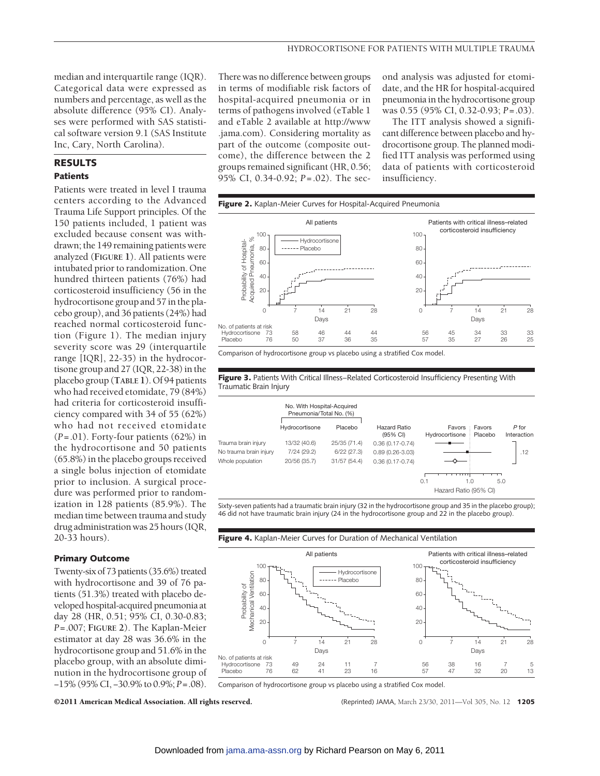median and interquartile range (IQR). Categorical data were expressed as numbers and percentage, as well as the absolute difference (95% CI). Analyses were performed with SAS statistical software version 9.1 (SAS Institute Inc, Cary, North Carolina).

# **RESULTS**

## **Patients**

Patients were treated in level I trauma centers according to the Advanced Trauma Life Support principles. Of the 150 patients included, 1 patient was excluded because consent was withdrawn; the 149 remaining patients were analyzed (**FIGURE 1**). All patients were intubated prior to randomization. One hundred thirteen patients (76%) had corticosteroid insufficiency (56 in the hydrocortisone group and 57 in the placebo group), and 36 patients (24%) had reached normal corticosteroid function (Figure 1). The median injury severity score was 29 (interquartile range [IQR], 22-35) in the hydrocortisone group and 27 (IQR, 22-38) in the placebo group (**TABLE 1**). Of 94 patients who had received etomidate, 79 (84%) had criteria for corticosteroid insufficiency compared with 34 of 55 (62%) who had not received etomidate (*P*=.01). Forty-four patients (62%) in the hydrocortisone and 50 patients (65.8%) in the placebo groups received a single bolus injection of etomidate prior to inclusion. A surgical procedure was performed prior to randomization in 128 patients (85.9%). The median time between trauma and study drug administration was 25 hours (IQR, 20-33 hours).

### **Primary Outcome**

Twenty-six of 73 patients (35.6%) treated with hydrocortisone and 39 of 76 patients (51.3%) treated with placebo developed hospital-acquired pneumonia at day 28 (HR, 0.51; 95% CI, 0.30-0.83; *P*=.007; **FIGURE 2**). The Kaplan-Meier estimator at day 28 was 36.6% in the hydrocortisone group and 51.6% in the placebo group, with an absolute diminution in the hydrocortisone group of −15% (95% CI, −30.9% to 0.9%; *P*=.08).

There was no difference between groups in terms of modifiable risk factors of hospital-acquired pneumonia or in terms of pathogens involved (eTable 1 and eTable 2 available at http://www .jama.com). Considering mortality as part of the outcome (composite outcome), the difference between the 2 groups remained significant (HR, 0.56; 95% CI, 0.34-0.92; *P*=.02). The sec-

ond analysis was adjusted for etomidate, and the HR for hospital-acquired pneumonia in the hydrocortisone group was 0.55 (95% CI, 0.32-0.93; *P*=.03).

The ITT analysis showed a significant difference between placebo and hydrocortisone group. The planned modified ITT analysis was performed using data of patients with corticosteroid insufficiency.





**Figure 3.** Patients With Critical Illness−Related Corticosteroid Insufficiency Presenting With Traumatic Brain Injury

|                        | No. With Hospital-Acquired<br>Pneumonia/Total No. (%) |              |                          |                                                      |                      |
|------------------------|-------------------------------------------------------|--------------|--------------------------|------------------------------------------------------|----------------------|
|                        | Hydrocortisone                                        | Placebo      | Hazard Ratio<br>(95% CI) | <b>Favors</b><br>Favors<br>Hydrocortisone<br>Placebo | P for<br>Interaction |
| Trauma brain injury    | 13/32 (40.6)                                          | 25/35 (71.4) | $0.36(0.17 - 0.74)$      |                                                      |                      |
| No trauma brain injury | 7/24(29.2)                                            | 6/22(27.3)   | $0.89(0.26 - 3.03)$      |                                                      | .12                  |
| Whole population       | 20/56 (35.7)                                          | 31/57 (54.4) | $0.36(0.17 - 0.74)$      |                                                      |                      |
|                        |                                                       |              |                          | 0.1<br>1.0                                           | 5.0                  |
|                        |                                                       |              |                          | Hazard Ratio (95% CI)                                |                      |

Sixty-seven patients had a traumatic brain injury (32 in the hydrocortisone group and 35 in the placebo group); 46 did not have traumatic brain injury (24 in the hydrocortisone group and 22 in the placebo group).



Comparison of hydrocortisone group vs placebo using a stratified Cox model.

<sup>©2011</sup> American Medical Association. All rights reserved. (Reprinted) JAMA, March 23/30, 2011—Vol 305, No. 12 **1205**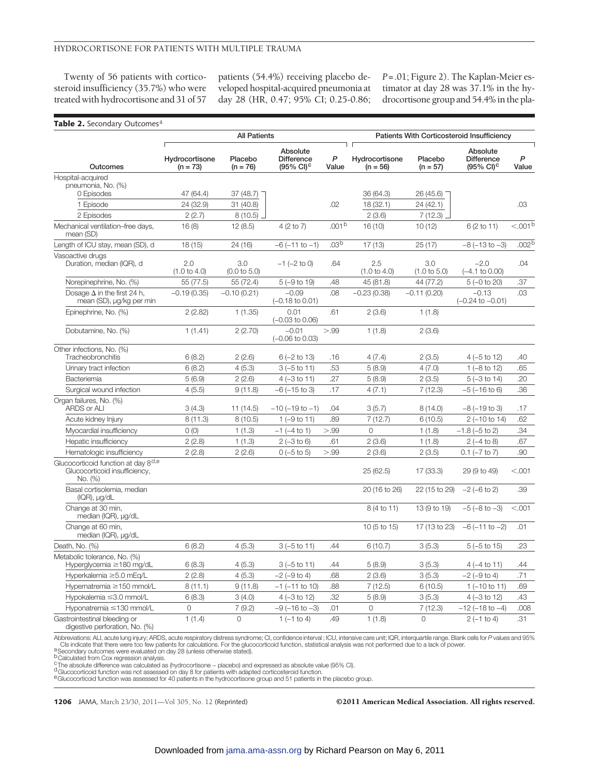### HYDROCORTISONE FOR PATIENTS WITH MULTIPLE TRAUMA

Twenty of 56 patients with corticosteroid insufficiency (35.7%) who were treated with hydrocortisone and 31 of 57

patients (54.4%) receiving placebo developed hospital-acquired pneumonia at day 28 (HR, 0.47; 95% CI; 0.25-0.86; *P*=.01; Figure 2). The Kaplan-Meier estimator at day 28 was 37.1% in the hydrocortisone group and 54.4% in the pla-

| Table 2. Secondary Outcomes <sup>a</sup>                                                    |                              |                                |                                                        |                   |                                            |                                |                                                        |                     |
|---------------------------------------------------------------------------------------------|------------------------------|--------------------------------|--------------------------------------------------------|-------------------|--------------------------------------------|--------------------------------|--------------------------------------------------------|---------------------|
|                                                                                             | <b>All Patients</b>          |                                |                                                        |                   | Patients With Corticosteroid Insufficiency |                                |                                                        |                     |
| Outcomes                                                                                    | Hydrocortisone<br>$(n = 73)$ | Placebo<br>$(n = 76)$          | Absolute<br><b>Difference</b><br>$(95\% \text{ Cl})^c$ | P<br>Value        | Hydrocortisone<br>$(n = 56)$               | Placebo<br>$(n = 57)$          | Absolute<br><b>Difference</b><br>$(95\% \text{ Cl})^c$ | P<br>Value          |
| Hospital-acquired                                                                           |                              |                                |                                                        |                   |                                            |                                |                                                        |                     |
| pneumonia, No. (%)<br>0 Episodes                                                            | 47 (64.4)                    | 37 (48.7)                      |                                                        |                   | 36 (64.3)                                  | 26 (45.6)                      |                                                        |                     |
| 1 Episode                                                                                   | 24 (32.9)                    | 31(40.8)                       |                                                        | .02               | 18 (32.1)                                  | 24 (42.1)                      |                                                        | .03                 |
| 2 Episodes                                                                                  | 2(2.7)                       | 8(10.5)                        |                                                        |                   | 2(3.6)                                     | 7 (12.3)                       |                                                        |                     |
| Mechanical ventilation-free days,<br>mean (SD)                                              | 16(8)                        | 12(8.5)                        | 4 (2 to 7)                                             | .001 <sup>b</sup> | 16(10)                                     | 10(12)                         | 6 (2 to 11)                                            | $<$ .001 $^{\rm b}$ |
| Length of ICU stay, mean (SD), d                                                            | 18 (15)                      | 24 (16)                        | $-6(-11$ to $-1)$                                      | .03 <sup>b</sup>  | 17 (13)                                    | 25(17)                         | $-8$ ( $-13$ to $-3$ )                                 | .002 <sup>b</sup>   |
| Vasoactive drugs<br>Duration, median (IQR), d                                               | 2.0<br>(1.0 to 4.0)          | 3.0<br>$(0.0 \text{ to } 5.0)$ | $-1$ ( $-2$ to 0)                                      | .64               | 2.5<br>(1.0 to 4.0)                        | 3.0<br>$(1.0 \text{ to } 5.0)$ | $-2.0$<br>$(-4.1 \text{ to } 0.00)$                    | .04                 |
| Norepinephrine, No. (%)                                                                     | 55 (77.5)                    | 55 (72.4)                      | $5(-9 to 19)$                                          | .48               | 45 (81.8)                                  | 44 (77.2)                      | $5(-0 to 20)$                                          | .37                 |
| Dosage $\Delta$ in the first 24 h,<br>mean (SD), µg/kg per min                              | $-0.19(0.35)$                | $-0.10(0.21)$                  | $-0.09$<br>$(-0.18 \text{ to } 0.01)$                  | .08               | $-0.23(0.38)$                              | $-0.11(0.20)$                  | $-0.13$<br>$(-0.24 \text{ to } -0.01)$                 | .03                 |
| Epinephrine, No. (%)                                                                        | 2(2.82)                      | 1(1.35)                        | 0.01<br>$(-0.03 \text{ to } 0.06)$                     | .61               | 2(3.6)                                     | 1(1.8)                         |                                                        |                     |
| Dobutamine, No. (%)                                                                         | 1(1.41)                      | 2(2.70)                        | $-0.01$<br>$(-0.06 \text{ to } 0.03)$                  | >.99              | 1(1.8)                                     | 2(3.6)                         |                                                        |                     |
| Other infections, No. (%)<br>Tracheobronchitis                                              | 6(8.2)                       | 2(2.6)                         | $6(-2 to 13)$                                          | .16               | 4(7.4)                                     | 2(3.5)                         | $4(-5 \text{ to } 12)$                                 | .40                 |
| Urinary tract infection                                                                     | 6(8.2)                       | 4(5.3)                         | $3(-5 to 11)$                                          | .53               | 5(8.9)                                     | 4(7.0)                         | $1(-8 to 12)$                                          | .65                 |
| Bacteriemia                                                                                 | 5(6.9)                       | 2(2.6)                         | $4(-3 to 11)$                                          | .27               | 5(8.9)                                     | 2(3.5)                         | $5(-3 to 14)$                                          | .20                 |
| Surgical wound infection                                                                    | 4(5.5)                       | 9(11.8)                        | $-6$ ( $-15$ to 3)                                     | .17               | 4(7.1)                                     | 7(12.3)                        | $-5$ ( $-16$ to 6)                                     | .36                 |
| Organ failures, No. (%)<br>ARDS or ALI                                                      | 3(4.3)                       | 11 (14.5)                      | $-10$ ( $-19$ to $-1$ )                                | .04               | 3(5.7)                                     | 8(14.0)                        | $-8$ ( $-19$ to 3)                                     | .17                 |
| Acute kidney Injury                                                                         | 8(11.3)                      | 8(10.5)                        | $1 (-9 to 11)$                                         | .89               | 7(12.7)                                    | 6(10.5)                        | $2(-10 to 14)$                                         | .62                 |
| Myocardial insufficiency                                                                    | O(0)                         | 1(1.3)                         | $-1$ ( $-4$ to 1)                                      | >.99              | $\circ$                                    | 1(1.8)                         | $-1.8$ ( $-5$ to 2)                                    | .34                 |
| Hepatic insufficiency                                                                       | 2(2.8)                       | 1(1.3)                         | $2(-3 to 6)$                                           | .61               | 2(3.6)                                     | 1(1.8)                         | $2(-4 to 8)$                                           | .67                 |
| Hematologic insufficiency                                                                   | 2(2.8)                       | 2(2.6)                         | $0$ (-5 to 5)                                          | >.99              | 2(3.6)                                     | 2(3.5)                         | $0.1$ ( $-7$ to $7$ )                                  | .90                 |
| Glucocorticoid function at day 8 <sup>d,e</sup><br>Glucocorticoid insufficiency,<br>No. (%) |                              |                                |                                                        |                   | 25 (62.5)                                  | 17 (33.3)                      | 29 (9 to 49)                                           | < 0.001             |
| Basal cortisolemia, median<br>$(IQR), \mu g/dL$                                             |                              |                                |                                                        |                   | 20 (16 to 26)                              | 22 (15 to 29)                  | $-2$ ( $-6$ to 2)                                      | .39                 |
| Change at 30 min,<br>median (IQR), µg/dL                                                    |                              |                                |                                                        |                   | 8 (4 to 11)                                | 13 (9 to 19)                   | $-5(-8$ to $-3)$                                       | < .001              |
| Change at 60 min,<br>median (IQR), µg/dL                                                    |                              |                                |                                                        |                   | 10 (5 to 15)                               | 17 (13 to 23)                  | $-6$ ( $-11$ to $-2$ )                                 | .01                 |
| Death, No. (%)                                                                              | 6(8.2)                       | 4(5.3)                         | $3(-5 \text{ to } 11)$                                 | .44               | 6(10.7)                                    | 3(5.3)                         | $5(-5 \text{ to } 15)$                                 | .23                 |
| Metabolic tolerance, No. (%)<br>Hyperglycemia ≥180 mg/dL                                    | 6(8.3)                       | 4(5.3)                         | $3(-5 \text{ to } 11)$                                 | .44               | 5(8.9)                                     | 3(5.3)                         | $4(-4 \text{ to } 11)$                                 | .44                 |
| Hyperkalemia ≥5.0 mEq/L                                                                     | 2(2.8)                       | 4(5.3)                         | $-2$ ( $-9$ to 4)                                      | .68               | 2(3.6)                                     | 3(5.3)                         | $-2$ ( $-9$ to 4)                                      | .71                 |
| Hypernatremia ≥150 mmol/L                                                                   | 8(11.1)                      | 9(11.8)                        | $-1$ ( $-11$ to 10)                                    | .88               | 7(12.5)                                    | 6(10.5)                        | $1(-10 to 11)$                                         | .69                 |
| Hypokalemia ≤3.0 mmol/L                                                                     | 6(8.3)                       | 3(4.0)                         | $4(-3 to 12)$                                          | .32               | 5(8.9)                                     | 3(5.3)                         | $4 (-3 to 12)$                                         | .43                 |
| Hyponatremia ≤130 mmol/L                                                                    | 0                            | 7(9.2)                         | $-9$ ( $-16$ to $-3$ )                                 | .01               | $\circ$                                    | 7(12.3)                        | $-12$ (-18 to -4)                                      | .008                |
| Gastrointestinal bleeding or                                                                | 1(1.4)                       | $\mathbf{O}$                   | $1(-1 \text{ to } 4)$                                  | .49               | 1(1.8)                                     | $\mathbf 0$                    | $2(-1)$ to 4)                                          | .31                 |

digestive perforation, No. (%)

Abbreviations: ALI, acute lung injury; ARDS, acute respiratory distress syndrome; CI, confidence interval ; ICU, intensive care unit; IQR, interquartile range. Blank cells for P values and 95%<br>- CIs indicate that there wer

<sup>b</sup>Calculated from Cox regression analysis.<br><sup>C</sup>The absolute difference was calculated as (hydrocortisone – placebo) and expressed as absolute value (95% CI).<br><sup>d</sup>Glucocorticoid function was not assessed on day 8 for patient

eGlucocorticoid function was assessed for 40 patients in the hydrocortisone group and 51 patients in the placebo group.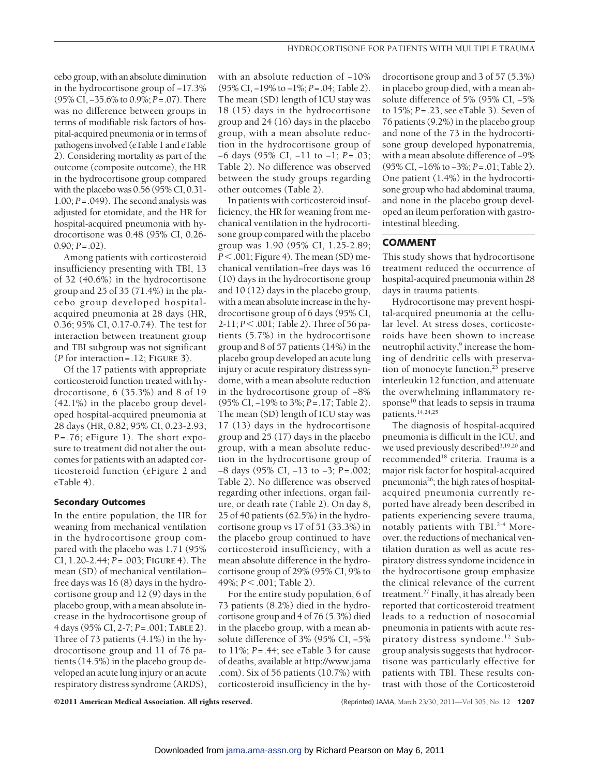cebo group, with an absolute diminution in the hydrocortisone group of −17.3% (95% CI, −35.6% to 0.9%; *P*=.07). There was no difference between groups in terms of modifiable risk factors of hospital-acquired pneumonia or in terms of pathogens involved (eTable 1 and eTable 2). Considering mortality as part of the outcome (composite outcome), the HR in the hydrocortisone group compared with the placebo was 0.56 (95% CI, 0.31- 1.00; *P*=.049). The second analysis was adjusted for etomidate, and the HR for hospital-acquired pneumonia with hydrocortisone was 0.48 (95% CI, 0.26-  $0.90: P = .02$ ).

Among patients with corticosteroid insufficiency presenting with TBI, 13 of 32 (40.6%) in the hydrocortisone group and 25 of 35 (71.4%) in the placebo group developed hospitalacquired pneumonia at 28 days (HR, 0.36; 95% CI, 0.17-0.74). The test for interaction between treatment group and TBI subgroup was not significant (*P* for interaction=.12; **FIGURE 3**).

Of the 17 patients with appropriate corticosteroid function treated with hydrocortisone, 6 (35.3%) and 8 of 19 (42.1%) in the placebo group developed hospital-acquired pneumonia at 28 days (HR, 0.82; 95% CI, 0.23-2.93; *P*=.76; eFigure 1). The short exposure to treatment did not alter the outcomes for patients with an adapted corticosteroid function (eFigure 2 and eTable 4).

## **Secondary Outcomes**

In the entire population, the HR for weaning from mechanical ventilation in the hydrocortisone group compared with the placebo was 1.71 (95% CI, 1.20-2.44; *P*=.003; **FIGURE 4**). The mean (SD) of mechanical ventilation– free days was 16 (8) days in the hydrocortisone group and 12 (9) days in the placebo group, with a mean absolute increase in the hydrocortisone group of 4 days (95% CI, 2-7; *P*=.001; **TABLE 2**). Three of 73 patients (4.1%) in the hydrocortisone group and 11 of 76 patients (14.5%) in the placebo group developed an acute lung injury or an acute respiratory distress syndrome (ARDS), with an absolute reduction of −10% (95% CI, −19% to −1%; *P*=.04; Table 2). The mean (SD) length of ICU stay was 18 (15) days in the hydrocortisone group and 24 (16) days in the placebo group, with a mean absolute reduction in the hydrocortisone group of −6 days (95% CI, −11 to −1; *P*=.03; Table 2). No difference was observed between the study groups regarding other outcomes (Table 2).

In patients with corticosteroid insufficiency, the HR for weaning from mechanical ventilation in the hydrocortisone group compared with the placebo group was 1.90 (95% CI, 1.25-2.89; *P*-.001; Figure 4). The mean (SD) mechanical ventilation−free days was 16 (10) days in the hydrocortisone group and 10 (12) days in the placebo group, with a mean absolute increase in the hydrocortisone group of 6 days (95% CI, 2-11; *P*-.001; Table 2). Three of 56 patients (5.7%) in the hydrocortisone group and 8 of 57 patients (14%) in the placebo group developed an acute lung injury or acute respiratory distress syndome, with a mean absolute reduction in the hydrocortisone group of −8% (95% CI, −19% to 3%; *P*=.17; Table 2). The mean (SD) length of ICU stay was 17 (13) days in the hydrocortisone group and 25 (17) days in the placebo group, with a mean absolute reduction in the hydrocortisone group of −8 days (95% CI, −13 to −3; *P*=.002; Table 2). No difference was observed regarding other infections, organ failure, or death rate (Table 2). On day 8, 25 of 40 patients (62.5%) in the hydrocortisone group vs 17 of 51 (33.3%) in the placebo group continued to have corticosteroid insufficiency, with a mean absolute difference in the hydrocortisone group of 29% (95% CI, 9% to 49%; *P*-.001; Table 2).

For the entire study population, 6 of 73 patients (8.2%) died in the hydrocortisone group and 4 of 76 (5.3%) died in the placebo group, with a mean absolute difference of 3% (95% CI, −5% to 11%; *P*=.44; see eTable 3 for cause of deaths, available at http://www.jama .com). Six of 56 patients (10.7%) with corticosteroid insufficiency in the hy-

drocortisone group and 3 of 57 (5.3%) in placebo group died, with a mean absolute difference of 5% (95% CI, −5% to 15%; *P*=.23, see eTable 3). Seven of 76 patients (9.2%) in the placebo group and none of the 73 in the hydrocortisone group developed hyponatremia, with a mean absolute difference of −9% (95% CI, −16% to −3%; *P*=.01; Table 2). One patient (1.4%) in the hydrocortisone group who had abdominal trauma, and none in the placebo group developed an ileum perforation with gastrointestinal bleeding.

# **COMMENT**

This study shows that hydrocortisone treatment reduced the occurrence of hospital-acquired pneumonia within 28 days in trauma patients.

Hydrocortisone may prevent hospital-acquired pneumonia at the cellular level. At stress doses, corticosteroids have been shown to increase neutrophil activity,<sup>9</sup> increase the homing of dendritic cells with preservation of monocyte function, $23$  preserve interleukin 12 function, and attenuate the overwhelming inflammatory response<sup>10</sup> that leads to sepsis in trauma patients.14,24,25

The diagnosis of hospital-acquired pneumonia is difficult in the ICU, and we used previously described<sup>3,19,20</sup> and recommended18 criteria. Trauma is a major risk factor for hospital-acquired pneumonia26; the high rates of hospitalacquired pneumonia currently reported have already been described in patients experiencing severe trauma, notably patients with TBI.<sup>2-4</sup> Moreover, the reductions of mechanical ventilation duration as well as acute respiratory distress syndome incidence in the hydrocortisone group emphasize the clinical relevance of the current treatment.27 Finally, it has already been reported that corticosteroid treatment leads to a reduction of nosocomial pneumonia in patients with acute respiratory distress syndome.<sup>12</sup> Subgroup analysis suggests that hydrocortisone was particularly effective for patients with TBI. These results contrast with those of the Corticosteroid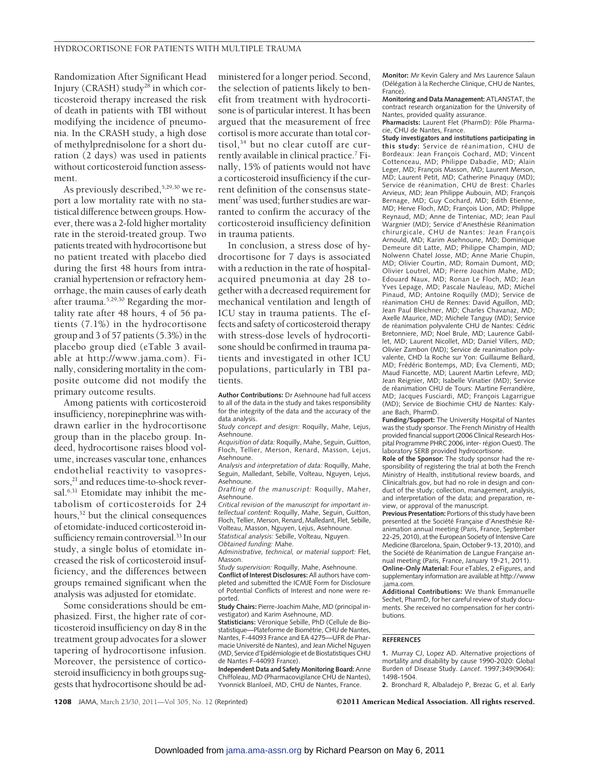Randomization After Significant Head Injury (CRASH) study $^{28}$  in which corticosteroid therapy increased the risk of death in patients with TBI without modifying the incidence of pneumonia. In the CRASH study, a high dose of methylprednisolone for a short duration (2 days) was used in patients without corticosteroid function assessment.

As previously described,<sup>5,29,30</sup> we report a low mortality rate with no statistical difference between groups. However, there was a 2-fold higher mortality rate in the steroid-treated group. Two patients treated with hydrocortisone but no patient treated with placebo died during the first 48 hours from intracranial hypertension or refractory hemorrhage, the main causes of early death after trauma.5,29,30 Regarding the mortality rate after 48 hours, 4 of 56 patients (7.1%) in the hydrocortisone group and 3 of 57 patients (5.3%) in the placebo group died (eTable 3 available at http://www.jama.com). Finally, considering mortality in the composite outcome did not modify the primary outcome results.

Among patients with corticosteroid insufficiency, norepinephrine was withdrawn earlier in the hydrocortisone group than in the placebo group. Indeed, hydrocortisone raises blood volume, increases vascular tone, enhances endothelial reactivity to vasopressors,<sup>21</sup> and reduces time-to-shock reversal.<sup>6,31</sup> Etomidate may inhibit the metabolism of corticosteroids for 24 hours,<sup>32</sup> but the clinical consequences of etomidate-induced corticosteroid insufficiency remain controversial.<sup>33</sup> In our study, a single bolus of etomidate increased the risk of corticosteroid insufficiency, and the differences between groups remained significant when the analysis was adjusted for etomidate.

Some considerations should be emphasized. First, the higher rate of corticosteroid insufficiency on day 8 in the treatment group advocates for a slower tapering of hydrocortisone infusion. Moreover, the persistence of corticosteroid insufficiency in both groups suggests that hydrocortisone should be administered for a longer period. Second, the selection of patients likely to benefit from treatment with hydrocortisone is of particular interest. It has been argued that the measurement of free cortisol is more accurate than total cortisol,<sup>34</sup> but no clear cutoff are currently available in clinical practice.7 Finally, 15% of patients would not have a corticosteroid insufficiency if the current definition of the consensus statement<sup>7</sup> was used; further studies are warranted to confirm the accuracy of the corticosteroid insufficiency definition in trauma patients.

In conclusion, a stress dose of hydrocortisone for 7 days is associated with a reduction in the rate of hospitalacquired pneumonia at day 28 together with a decreased requirement for mechanical ventilation and length of ICU stay in trauma patients. The effects and safety of corticosteroid therapy with stress-dose levels of hydrocortisone should be confirmed in trauma patients and investigated in other ICU populations, particularly in TBI patients.

**Author Contributions:** Dr Asehnoune had full access to all of the data in the study and takes responsibility for the integrity of the data and the accuracy of the data analysis.

*Study concept and design:* Roquilly, Mahe, Lejus, Asehnoune.

*Acquisition of data:* Roquilly, Mahe, Seguin, Guitton, Floch, Tellier, Merson, Renard, Masson, Lejus, Asehnoune.

*Analysis and interpretation of data:* Roquilly, Mahe, Seguin, Malledant, Sebille, Volteau, Nguyen, Lejus, Asehnoune.

*Drafting of the manuscript:* Roquilly, Maher, Asehnoune.

*Critical revision of the manuscript for important intellectual content:* Roquilly, Mahe, Seguin, Guitton, Floch, Tellier, Merson, Renard, Malledant, Flet, Sebille, Volteau, Masson, Nguyen, Lejus, Asehnoune.

*Statistical analysis:* Sebille, Volteau, Nguyen.

*Obtained funding:* Mahe.

*Administrative, technical, or material support:* Flet, Masson.

*Study supervision:* Roquilly, Mahe, Asehnoune.

**Conflict of Interest Disclosures:** All authors have completed and submitted the ICMJE Form for Disclosure of Potential Conflicts of Interest and none were reported.

**Study Chairs:** Pierre-Joachim Mahe, MD (principal investigator) and Karim Asehnoune, MD.

Statisticians: Véronique Sebille, PhD (Cellule de Biostatistique-Plateforme de Biométrie, CHU de Nantes, Nantes, F-44093 France and EA 4275—UFR de Pharmacie Université de Nantes), and Jean Michel Nguyen (MD, Service d'Epidémiologie et de Biostatistiques CHU de Nantes F-44093 France).

**Independent Data and Safety Monitoring Board:** Anne Chiffoleau, MD (Pharmacovigilance CHU de Nantes), Yvonnick Blanloeil, MD, CHU de Nantes, France.

**Monitor:** Mr Kevin Galery and Mrs Laurence Salaun (Délégation à la Recherche Clinique, CHU de Nantes, France).

**Monitoring and Data Management:** ATLANSTAT, the contract research organization for the University of Nantes, provided quality assurance.

Pharmacists: Laurent Flet (PharmD): Pôle Pharmacie, CHU de Nantes, France.

**Study investigators and institutions participating in** this study: Service de réanimation, CHU de Bordeaux: Jean François Cochard, MD; Vincent Cottenceau, MD; Philippe Dabadie, MD; Alain Leger, MD; Francois Masson, MD; Laurent Merson, MD; Laurent Petit, MD; Catherine Pinaquy (MD); Service de réanimation, CHU de Brest: Charles Arvieux, MD; Jean Philippe Aubouin, MD; François Bernage, MD; Guy Cochard, MD; Edith Etienne, MD; Herve Floch, MD; François Lion, MD; Philippe Reynaud, MD; Anne de Tinteniac, MD; Jean Paul Wargnier (MD); Service d'Anesthésie Réanimation chirurgicale, CHU de Nantes: Jean François Arnould, MD; Karim Asehnoune, MD; Dominique Demeure dit Latte, MD; Philippe Champin, MD; Nolwenn Chatel Josse, MD; Anne Marie Chupin, MD; Olivier Courtin, MD; Romain Dumont, MD; Olivier Loutrel, MD; Pierre Joachim Mahe, MD; Edouard Naux, MD; Ronan Le Floch, MD; Jean Yves Lepage, MD; Pascale Nauleau, MD; Michel Pinaud, MD; Antoine Roquilly (MD); Service de réanimation CHU de Rennes: David Aguillon, MD; Jean Paul Bleichner, MD; Charles Chavanaz, MD; Axelle Maurice, MD; Michele Tanguy (MD); Service de réanimation polyvalente CHU de Nantes: Cédric Bretonniere, MD; Noel Brule, MD; Laurence Gabillet, MD; Laurent Nicollet, MD; Daniel Villers, MD; Olivier Zambon (MD); Service de reanimation polyvalente, CHD la Roche sur Yon: Guillaume Belliard, MD; Frédéric Bontemps, MD; Eva Clementi, MD; Maud Fiancette, MD; Laurent Martin Lefevre, MD; Jean Reignier, MD; Isabelle Vinatier (MD); Service de réanimation CHU de Tours: Martine Ferrandière, MD; Jacques Fusciardi, MD; François Lagarrigue (MD); Service de Biochimie CHU de Nantes: Kalyane Bach, PharmD.

**Funding/Support:** The University Hospital of Nantes was the study sponsor. The French Ministry of Health provided financial support (2006 Clinical Research Hospital Programme PHRC 2006, inter- région Ouest). The laboratory SERB provided hydrocortisone.

**Role of the Sponsor:** The study sponsor had the responsibility of registering the trial at both the French Ministry of Health, institutional review boards, and Clinicaltrials.gov, but had no role in design and conduct of the study; collection, management, analysis, and interpretation of the data; and preparation, review, or approval of the manuscript.

**Previous Presentation:** Portions of this study have been presented at the Société Française d'Anesthésie Réanimation annual meeting (Paris, France, September 22-25, 2010), at the European Society of Intensive Care Medicine (Barcelona, Spain, October 9-13, 2010), and the Société de Réanimation de Langue Française annual meeting (Paris, France, January 19-21, 2011).

**Online-Only Material:** Four eTables, 2 eFigures, and supplementary information are available at http://www .jama.com.

**Additional Contributions:** We thank Emmanuelle Sechet, PharmD, for her careful review of study documents. She received no compensation for her contributions.

#### **REFERENCES**

**1.** Murray CJ, Lopez AD. Alternative projections of mortality and disability by cause 1990-2020: Global Burden of Disease Study. *Lancet*. 1997;349(9064): 1498-1504.

**2.** Bronchard R, Albaladejo P, Brezac G, et al. Early